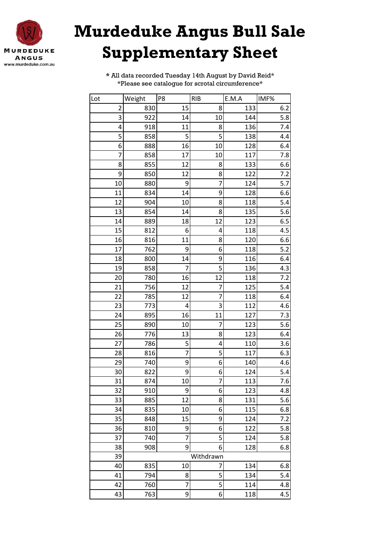

## **Murdeduke Angus Bull Sale Supplementary Sheet**

**\*** All data recorded Tuesday 14th August by David Reid\* \*Please see catalogue for scrotal circumference\*

| Lot                     | Weight    | P8              | <b>RIB</b>     | E.M.A | IMF%  |  |  |
|-------------------------|-----------|-----------------|----------------|-------|-------|--|--|
| $\overline{\mathbf{c}}$ | 830       | 15              | 8              | 133   | 6.2   |  |  |
| 3                       | 922       | 14              | 10             | 144   | 5.8   |  |  |
| 4                       | 918       | 11              | 8              | 136   | 7.4   |  |  |
| 5                       | 858       | 5               | 5              | 138   | 4.4   |  |  |
| 6                       | 888       | 16              | 10             | 128   | 6.4   |  |  |
| 7                       | 858       | 17              | 10             | 117   | 7.8   |  |  |
| 8                       | 855       | 12              | 8              | 133   | 6.6   |  |  |
| 9                       | 850       | 12              | 8              | 122   | 7.2   |  |  |
| 10                      | 880       | 9               | 7              | 124   | 5.7   |  |  |
| 11                      | 834       | 14              | 9              | 128   | 6.6   |  |  |
| 12                      | 904       | 10              | 8              | 118   | 5.4   |  |  |
| 13                      | 854       | 14              | 8              | 135   | 5.6   |  |  |
| 14                      | 889       | 18              | 12             | 123   | 6.5   |  |  |
| 15                      | 812       | 6               | 4              | 118   | 4.5   |  |  |
| 16                      | 816       | 11              | 8              | 120   | 6.6   |  |  |
| 17                      | 762       | 9               | 6              | 118   | $5.2$ |  |  |
| 18                      | 800       | 14              | 9              | 116   | 6.4   |  |  |
| 19                      | 858       | 7               | 5              | 136   | 4.3   |  |  |
| 20                      | 780       | 16              | 12             | 118   | 7.2   |  |  |
| 21                      | 756       | 12              | 7              | 125   | 5.4   |  |  |
| 22                      | 785       | 12              | $\overline{7}$ | 118   | 6.4   |  |  |
| 23                      | 773       | 4               | 3              | 112   | 4.6   |  |  |
| 24                      | 895       | 16              | 11             | 127   | 7.3   |  |  |
| 25                      | 890       | 10              | 7              | 123   | 5.6   |  |  |
| 26                      | 776       | 13              | 8              | 123   | 6.4   |  |  |
| 27                      | 786       | 5               | 4              | 110   | 3.6   |  |  |
| 28                      | 816       | $\overline{7}$  | 5              | 117   | 6.3   |  |  |
| 29                      | 740       | 9               | 6              | 140   | 4.6   |  |  |
| 30                      | 822       | 9               | 6              | 124   | 5.4   |  |  |
| 31                      | 874       | 10 <sup>1</sup> | $\overline{7}$ | 113   | 7.6   |  |  |
| 32                      | 910       | 9               | 6              | 123   | 4.8   |  |  |
| 33                      | 885       | 12              | 8              | 131   | 5.6   |  |  |
| 34                      | 835       | 10              | 6              | 115   | 6.8   |  |  |
| 35                      | 848       | 15              | 9              | 124   | 7.2   |  |  |
| 36                      | 810       | 9               | 6              | 122   | 5.8   |  |  |
| 37                      | 740       | $\overline{7}$  | 5              | 124   | 5.8   |  |  |
| 38                      | 908       | 9               | 6              | 128   | 6.8   |  |  |
| 39                      | Withdrawn |                 |                |       |       |  |  |
| 40                      | 835       | 10              | 7              | 134   | 6.8   |  |  |
| 41                      | 794       | 8               | 5              | 134   | 5.4   |  |  |
| 42                      | 760       | 7               | 5              | 114   | 4.8   |  |  |
| 43                      | 763       | 9               | 6              | 118   | 4.5   |  |  |